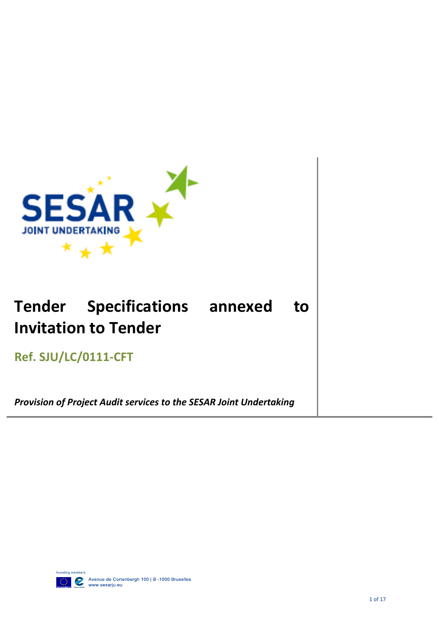

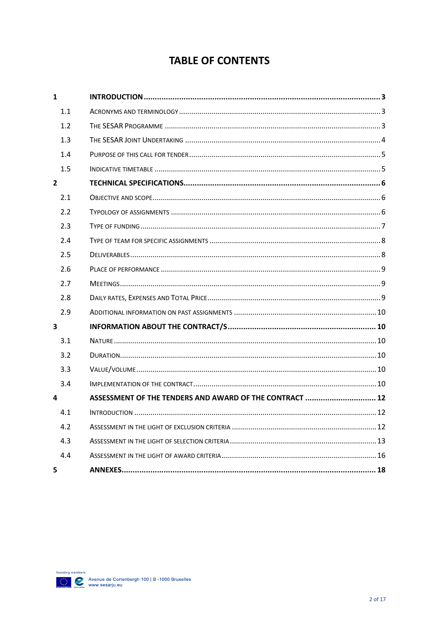# **TABLE OF CONTENTS**

| $\mathbf{1}$   |                                                         |
|----------------|---------------------------------------------------------|
| 1.1            |                                                         |
| 1.2            |                                                         |
| 1.3            |                                                         |
| 1.4            |                                                         |
| 1.5            |                                                         |
| $\overline{2}$ |                                                         |
| 2.1            |                                                         |
| 2.2            |                                                         |
| 2.3            |                                                         |
| 2.4            |                                                         |
| 2.5            |                                                         |
| 2.6            |                                                         |
| 2.7            |                                                         |
| 2.8            |                                                         |
| 2.9            |                                                         |
| 3              |                                                         |
| 3.1            |                                                         |
| 3.2            |                                                         |
| 3.3            |                                                         |
| 3.4            |                                                         |
| 4              | ASSESSMENT OF THE TENDERS AND AWARD OF THE CONTRACT  12 |
| 4.1            |                                                         |
| 4.2            |                                                         |
| 4.3            |                                                         |
| 4.4            |                                                         |
| 5              |                                                         |

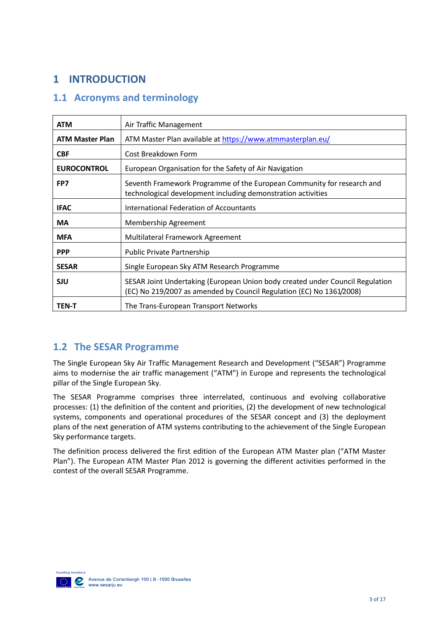# <span id="page-2-0"></span>**1 INTRODUCTION**

## <span id="page-2-1"></span>**1.1 Acronyms and terminology**

| <b>ATM</b>             | Air Traffic Management                                                                                                                                |
|------------------------|-------------------------------------------------------------------------------------------------------------------------------------------------------|
| <b>ATM Master Plan</b> | ATM Master Plan available at https://www.atmmasterplan.eu/                                                                                            |
| <b>CBF</b>             | Cost Breakdown Form                                                                                                                                   |
| <b>EUROCONTROL</b>     | European Organisation for the Safety of Air Navigation                                                                                                |
| FP7                    | Seventh Framework Programme of the European Community for research and<br>technological development including demonstration activities                |
| <b>IFAC</b>            | International Federation of Accountants                                                                                                               |
| <b>MA</b>              | Membership Agreement                                                                                                                                  |
| <b>MFA</b>             | Multilateral Framework Agreement                                                                                                                      |
| <b>PPP</b>             | <b>Public Private Partnership</b>                                                                                                                     |
| <b>SESAR</b>           | Single European Sky ATM Research Programme                                                                                                            |
| <b>SJU</b>             | SESAR Joint Undertaking (European Union body created under Council Regulation<br>(EC) No 219/2007 as amended by Council Regulation (EC) No 1361/2008) |
| <b>TEN-T</b>           | The Trans-European Transport Networks                                                                                                                 |

### <span id="page-2-2"></span>**1.2 The SESAR Programme**

The Single European Sky Air Traffic Management Research and Development ("SESAR") Programme aims to modernise the air traffic management ("ATM") in Europe and represents the technological pillar of the Single European Sky.

The SESAR Programme comprises three interrelated, continuous and evolving collaborative processes: (1) the definition of the content and priorities, (2) the development of new technological systems, components and operational procedures of the SESAR concept and (3) the deployment plans of the next generation of ATM systems contributing to the achievement of the Single European Sky performance targets.

The definition process delivered the first edition of the European ATM Master plan ("ATM Master Plan"). The European ATM Master Plan 2012 is governing the different activities performed in the contest of the overall SESAR Programme.

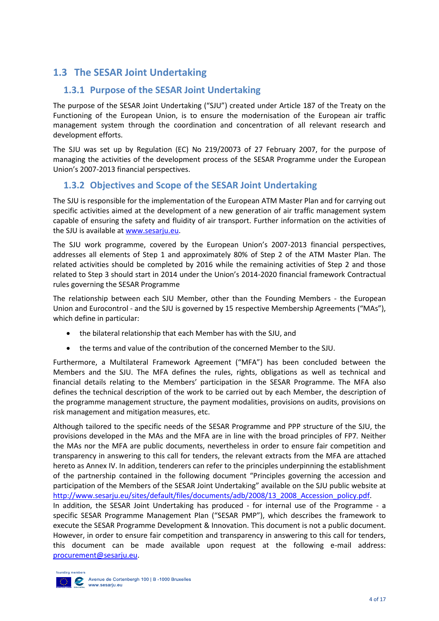## <span id="page-3-0"></span>**1.3 The SESAR Joint Undertaking**

### **1.3.1 Purpose of the SESAR Joint Undertaking**

The purpose of the SESAR Joint Undertaking ("SJU") created under Article 187 of the Treaty on the Functioning of the European Union, is to ensure the modernisation of the European air traffic management system through the coordination and concentration of all relevant research and development efforts.

The SJU was set up by Regulation (EC) No 219/20073 of 27 February 2007, for the purpose of managing the activities of the development process of the SESAR Programme under the European Union's 2007-2013 financial perspectives.

### **1.3.2 Objectives and Scope of the SESAR Joint Undertaking**

The SJU is responsible for the implementation of the European ATM Master Plan and for carrying out specific activities aimed at the development of a new generation of air traffic management system capable of ensuring the safety and fluidity of air transport. Further information on the activities of the SJU is available at [www.sesarju.eu.](http://www.sesarju.eu/)

The SJU work programme, covered by the European Union's 2007-2013 financial perspectives, addresses all elements of Step 1 and approximately 80% of Step 2 of the ATM Master Plan. The related activities should be completed by 2016 while the remaining activities of Step 2 and those related to Step 3 should start in 2014 under the Union's 2014-2020 financial framework Contractual rules governing the SESAR Programme

The relationship between each SJU Member, other than the Founding Members - the European Union and Eurocontrol - and the SJU is governed by 15 respective Membership Agreements ("MAs"), which define in particular:

- the bilateral relationship that each Member has with the SJU, and
- the terms and value of the contribution of the concerned Member to the SJU.

Furthermore, a Multilateral Framework Agreement ("MFA") has been concluded between the Members and the SJU. The MFA defines the rules, rights, obligations as well as technical and financial details relating to the Members' participation in the SESAR Programme. The MFA also defines the technical description of the work to be carried out by each Member, the description of the programme management structure, the payment modalities, provisions on audits, provisions on risk management and mitigation measures, etc.

Although tailored to the specific needs of the SESAR Programme and PPP structure of the SJU, the provisions developed in the MAs and the MFA are in line with the broad principles of FP7*.* Neither the MAs nor the MFA are public documents, nevertheless in order to ensure fair competition and transparency in answering to this call for tenders, the relevant extracts from the MFA are attached hereto as Annex IV. In addition, tenderers can refer to the principles underpinning the establishment of the partnership contained in the following document "Principles governing the accession and participation of the Members of the SESAR Joint Undertaking" available on the SJU public website at [http://www.sesarju.eu/sites/default/files/documents/adb/2008/13\\_2008\\_Accession\\_policy.pdf.](http://www.sesarju.eu/sites/default/files/documents/adb/2008/13_2008_Accession_policy.pdf)

In addition, the SESAR Joint Undertaking has produced - for internal use of the Programme - a specific SESAR Programme Management Plan ("SESAR PMP"), which describes the framework to execute the SESAR Programme Development & Innovation. This document is not a public document. However, in order to ensure fair competition and transparency in answering to this call for tenders, this document can be made available upon request at the following e-mail address: [procurement@sesarju.eu.](mailto:procurement@sesarju.eu)

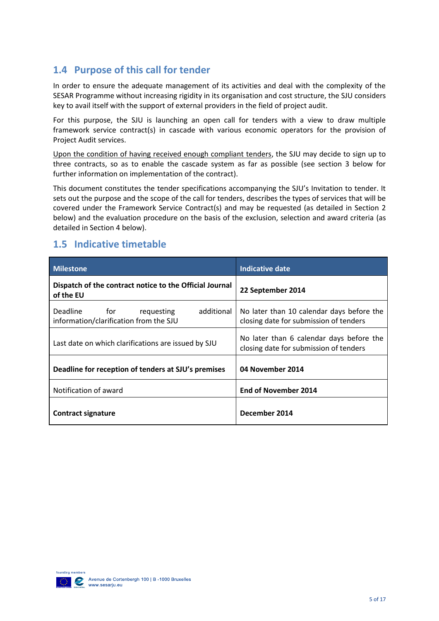## <span id="page-4-0"></span>**1.4 Purpose of this call for tender**

In order to ensure the adequate management of its activities and deal with the complexity of the SESAR Programme without increasing rigidity in its organisation and cost structure, the SJU considers key to avail itself with the support of external providers in the field of project audit.

For this purpose, the SJU is launching an open call for tenders with a view to draw multiple framework service contract(s) in cascade with various economic operators for the provision of Project Audit services.

Upon the condition of having received enough compliant tenders, the SJU may decide to sign up to three contracts, so as to enable the cascade system as far as possible (see section 3 below for further information on implementation of the contract).

This document constitutes the tender specifications accompanying the SJU's Invitation to tender. It sets out the purpose and the scope of the call for tenders, describes the types of services that will be covered under the Framework Service Contract(s) and may be requested (as detailed in Section 2 below) and the evaluation procedure on the basis of the exclusion, selection and award criteria (as detailed in Section 4 below).

### <span id="page-4-1"></span>**1.5 Indicative timetable**

| <b>Milestone</b>                                                                   | Indicative date                                                                     |
|------------------------------------------------------------------------------------|-------------------------------------------------------------------------------------|
| Dispatch of the contract notice to the Official Journal<br>of the EU               | 22 September 2014                                                                   |
| Deadline for<br>additional<br>requesting<br>information/clarification from the SJU | No later than 10 calendar days before the<br>closing date for submission of tenders |
| Last date on which clarifications are issued by SJU                                | No later than 6 calendar days before the<br>closing date for submission of tenders  |
| Deadline for reception of tenders at SJU's premises                                | 04 November 2014                                                                    |
| Notification of award                                                              | <b>End of November 2014</b>                                                         |
| Contract signature                                                                 | December 2014                                                                       |

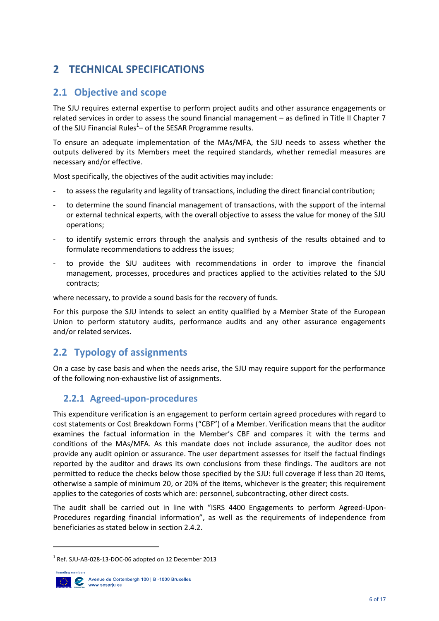# <span id="page-5-0"></span>**2 TECHNICAL SPECIFICATIONS**

## <span id="page-5-1"></span>**2.1 Objective and scope**

The SJU requires external expertise to perform project audits and other assurance engagements or related services in order to assess the sound financial management – as defined in Title II Chapter 7 of the SJU Financial Rules<sup>1</sup> – of the SESAR Programme results.

To ensure an adequate implementation of the MAs/MFA, the SJU needs to assess whether the outputs delivered by its Members meet the required standards, whether remedial measures are necessary and/or effective.

Most specifically, the objectives of the audit activities may include:

- to assess the regularity and legality of transactions, including the direct financial contribution;
- to determine the sound financial management of transactions, with the support of the internal or external technical experts, with the overall objective to assess the value for money of the SJU operations;
- to identify systemic errors through the analysis and synthesis of the results obtained and to formulate recommendations to address the issues;
- to provide the SJU auditees with recommendations in order to improve the financial management, processes, procedures and practices applied to the activities related to the SJU contracts;

where necessary, to provide a sound basis for the recovery of funds.

For this purpose the SJU intends to select an entity qualified by a Member State of the European Union to perform statutory audits, performance audits and any other assurance engagements and/or related services.

## <span id="page-5-2"></span>**2.2 Typology of assignments**

On a case by case basis and when the needs arise, the SJU may require support for the performance of the following non-exhaustive list of assignments.

### **2.2.1 Agreed-upon-procedures**

This expenditure verification is an engagement to perform certain agreed procedures with regard to cost statements or Cost Breakdown Forms ("CBF") of a Member. Verification means that the auditor examines the factual information in the Member's CBF and compares it with the terms and conditions of the MAs/MFA. As this mandate does not include assurance, the auditor does not provide any audit opinion or assurance. The user department assesses for itself the factual findings reported by the auditor and draws its own conclusions from these findings. The auditors are not permitted to reduce the checks below those specified by the SJU: full coverage if less than 20 items, otherwise a sample of minimum 20, or 20% of the items, whichever is the greater; this requirement applies to the categories of costs which are: personnel, subcontracting, other direct costs.

The audit shall be carried out in line with "ISRS 4400 Engagements to perform Agreed-Upon-Procedures regarding financial information", as well as the requirements of independence from beneficiaries as stated below in section 2.4.2.

 $1$  Ref. SJU-AB-028-13-DOC-06 adopted on 12 December 2013



**.**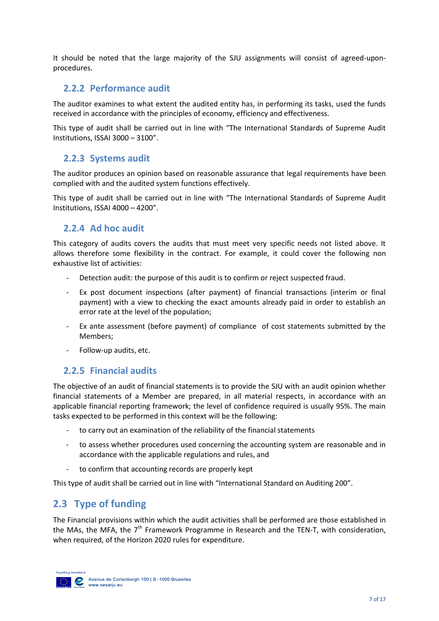It should be noted that the large majority of the SJU assignments will consist of agreed-uponprocedures.

### **2.2.2 Performance audit**

The auditor examines to what extent the audited entity has, in performing its tasks, used the funds received in accordance with the principles of economy, efficiency and effectiveness.

This type of audit shall be carried out in line with "The International Standards of Supreme Audit Institutions, ISSAI 3000 – 3100".

### **2.2.3 Systems audit**

The auditor produces an opinion based on reasonable assurance that legal requirements have been complied with and the audited system functions effectively.

This type of audit shall be carried out in line with "The International Standards of Supreme Audit Institutions, ISSAI 4000 – 4200".

### **2.2.4 Ad hoc audit**

This category of audits covers the audits that must meet very specific needs not listed above. It allows therefore some flexibility in the contract. For example, it could cover the following non exhaustive list of activities:

- Detection audit: the purpose of this audit is to confirm or reject suspected fraud.
- Ex post document inspections (after payment) of financial transactions (interim or final payment) with a view to checking the exact amounts already paid in order to establish an error rate at the level of the population;
- Ex ante assessment (before payment) of compliance of cost statements submitted by the Members;
- Follow-up audits, etc.

### **2.2.5 Financial audits**

The objective of an audit of financial statements is to provide the SJU with an audit opinion whether financial statements of a Member are prepared, in all material respects, in accordance with an applicable financial reporting framework; the level of confidence required is usually 95%. The main tasks expected to be performed in this context will be the following:

- to carry out an examination of the reliability of the financial statements
- to assess whether procedures used concerning the accounting system are reasonable and in accordance with the applicable regulations and rules, and
- to confirm that accounting records are properly kept

<span id="page-6-0"></span>This type of audit shall be carried out in line with "International Standard on Auditing 200".

## **2.3 Type of funding**

The Financial provisions within which the audit activities shall be performed are those established in the MAs, the MFA, the  $7<sup>th</sup>$  Framework Programme in Research and the TEN-T, with consideration, when required, of the Horizon 2020 rules for expenditure.

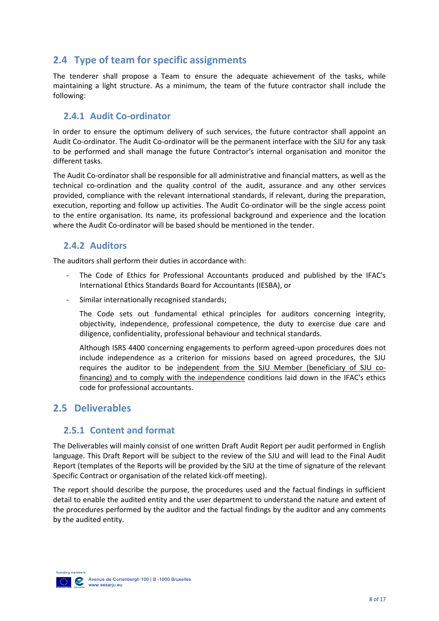## <span id="page-7-0"></span>**2.4 Type of team for specific assignments**

The tenderer shall propose a Team to ensure the adequate achievement of the tasks, while maintaining a light structure. As a minimum, the team of the future contractor shall include the following:

### **2.4.1 Audit Co-ordinator**

In order to ensure the optimum delivery of such services, the future contractor shall appoint an Audit Co-ordinator. The Audit Co-ordinator will be the permanent interface with the SJU for any task to be performed and shall manage the future Contractor's internal organisation and monitor the different tasks.

The Audit Co-ordinator shall be responsible for all administrative and financial matters, as well as the technical co-ordination and the quality control of the audit, assurance and any other services provided, compliance with the relevant international standards, if relevant, during the preparation, execution, reporting and follow up activities. The Audit Co-ordinator will be the single access point to the entire organisation. Its name, its professional background and experience and the location where the Audit Co-ordinator will be based should be mentioned in the tender.

### **2.4.2 Auditors**

The auditors shall perform their duties in accordance with:

- The Code of Ethics for Professional Accountants produced and published by the IFAC's International Ethics Standards Board for Accountants (IESBA), or
- Similar internationally recognised standards;

The Code sets out fundamental ethical principles for auditors concerning integrity, objectivity, independence, professional competence, the duty to exercise due care and diligence, confidentiality, professional behaviour and technical standards.

Although ISRS 4400 concerning engagements to perform agreed-upon procedures does not include independence as a criterion for missions based on agreed procedures, the SJU requires the auditor to be independent from the SJU Member (beneficiary of SJU cofinancing) and to comply with the independence conditions laid down in the IFAC's ethics code for professional accountants.

### <span id="page-7-1"></span>**2.5 Deliverables**

### **2.5.1 Content and format**

The Deliverables will mainly consist of one written Draft Audit Report per audit performed in English language. This Draft Report will be subject to the review of the SJU and will lead to the Final Audit Report (templates of the Reports will be provided by the SJU at the time of signature of the relevant Specific Contract or organisation of the related kick-off meeting).

The report should describe the purpose, the procedures used and the factual findings in sufficient detail to enable the audited entity and the user department to understand the nature and extent of the procedures performed by the auditor and the factual findings by the auditor and any comments by the audited entity.

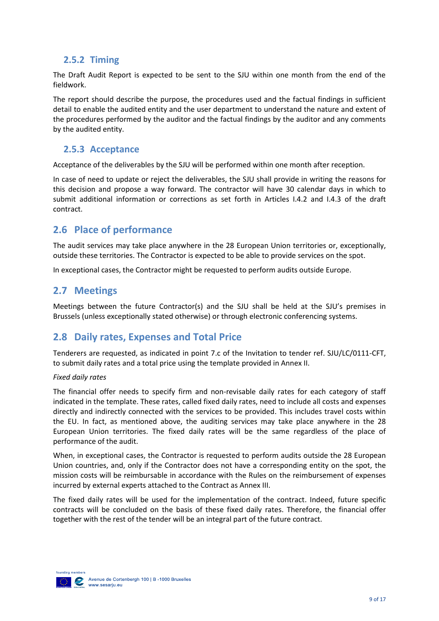### **2.5.2 Timing**

The Draft Audit Report is expected to be sent to the SJU within one month from the end of the fieldwork.

The report should describe the purpose, the procedures used and the factual findings in sufficient detail to enable the audited entity and the user department to understand the nature and extent of the procedures performed by the auditor and the factual findings by the auditor and any comments by the audited entity.

### **2.5.3 Acceptance**

Acceptance of the deliverables by the SJU will be performed within one month after reception.

In case of need to update or reject the deliverables, the SJU shall provide in writing the reasons for this decision and propose a way forward. The contractor will have 30 calendar days in which to submit additional information or corrections as set forth in Articles I.4.2 and I.4.3 of the draft contract.

### <span id="page-8-0"></span>**2.6 Place of performance**

The audit services may take place anywhere in the 28 European Union territories or, exceptionally, outside these territories. The Contractor is expected to be able to provide services on the spot.

<span id="page-8-1"></span>In exceptional cases, the Contractor might be requested to perform audits outside Europe.

### **2.7 Meetings**

Meetings between the future Contractor(s) and the SJU shall be held at the SJU's premises in Brussels (unless exceptionally stated otherwise) or through electronic conferencing systems.

### <span id="page-8-2"></span>**2.8 Daily rates, Expenses and Total Price**

Tenderers are requested, as indicated in point 7.c of the Invitation to tender ref. SJU/LC/0111-CFT, to submit daily rates and a total price using the template provided in Annex II.

#### *Fixed daily rates*

The financial offer needs to specify firm and non-revisable daily rates for each category of staff indicated in the template. These rates, called fixed daily rates, need to include all costs and expenses directly and indirectly connected with the services to be provided. This includes travel costs within the EU. In fact, as mentioned above, the auditing services may take place anywhere in the 28 European Union territories. The fixed daily rates will be the same regardless of the place of performance of the audit.

When, in exceptional cases, the Contractor is requested to perform audits outside the 28 European Union countries, and, only if the Contractor does not have a corresponding entity on the spot, the mission costs will be reimbursable in accordance with the Rules on the reimbursement of expenses incurred by external experts attached to the Contract as Annex III.

The fixed daily rates will be used for the implementation of the contract. Indeed, future specific contracts will be concluded on the basis of these fixed daily rates. Therefore, the financial offer together with the rest of the tender will be an integral part of the future contract.

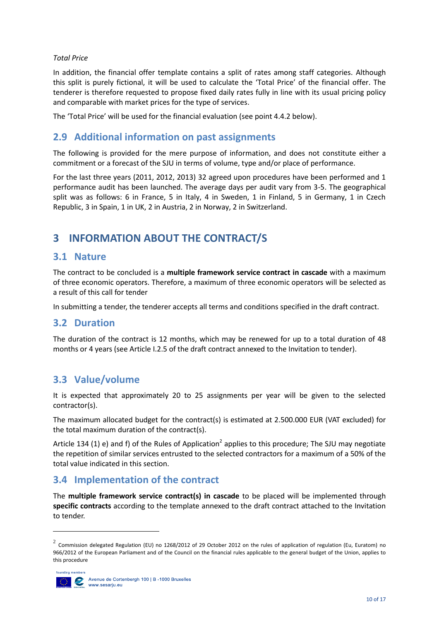#### *Total Price*

In addition, the financial offer template contains a split of rates among staff categories. Although this split is purely fictional, it will be used to calculate the 'Total Price' of the financial offer. The tenderer is therefore requested to propose fixed daily rates fully in line with its usual pricing policy and comparable with market prices for the type of services.

<span id="page-9-0"></span>The 'Total Price' will be used for the financial evaluation (see point 4.4.2 below).

### **2.9 Additional information on past assignments**

The following is provided for the mere purpose of information, and does not constitute either a commitment or a forecast of the SJU in terms of volume, type and/or place of performance.

For the last three years (2011, 2012, 2013) 32 agreed upon procedures have been performed and 1 performance audit has been launched. The average days per audit vary from 3-5. The geographical split was as follows: 6 in France, 5 in Italy, 4 in Sweden, 1 in Finland, 5 in Germany, 1 in Czech Republic, 3 in Spain, 1 in UK, 2 in Austria, 2 in Norway, 2 in Switzerland.

# <span id="page-9-1"></span>**3 INFORMATION ABOUT THE CONTRACT/S**

### <span id="page-9-2"></span>**3.1 Nature**

The contract to be concluded is a **multiple framework service contract in cascade** with a maximum of three economic operators. Therefore, a maximum of three economic operators will be selected as a result of this call for tender

In submitting a tender, the tenderer accepts all terms and conditions specified in the draft contract.

### <span id="page-9-3"></span>**3.2 Duration**

The duration of the contract is 12 months, which may be renewed for up to a total duration of 48 months or 4 years (see Article I.2.5 of the draft contract annexed to the Invitation to tender).

### <span id="page-9-4"></span>**3.3 Value/volume**

It is expected that approximately 20 to 25 assignments per year will be given to the selected contractor(s).

The maximum allocated budget for the contract(s) is estimated at 2.500.000 EUR (VAT excluded) for the total maximum duration of the contract(s).

Article 134 (1) e) and f) of the Rules of Application<sup>2</sup> applies to this procedure; The SJU may negotiate the repetition of similar services entrusted to the selected contractors for a maximum of a 50% of the total value indicated in this section.

### <span id="page-9-5"></span>**3.4 Implementation of the contract**

The **multiple framework service contract(s) in cascade** to be placed will be implemented through **specific contracts** according to the template annexed to the draft contract attached to the Invitation to tender.

 $^2$  Commission delegated Regulation (EU) no 1268/2012 of 29 October 2012 on the rules of application of regulation (Eu, Euratom) no 966/2012 of the European Parliament and of the Council on the financial rules applicable to the general budget of the Union, applies to this procedure



**.**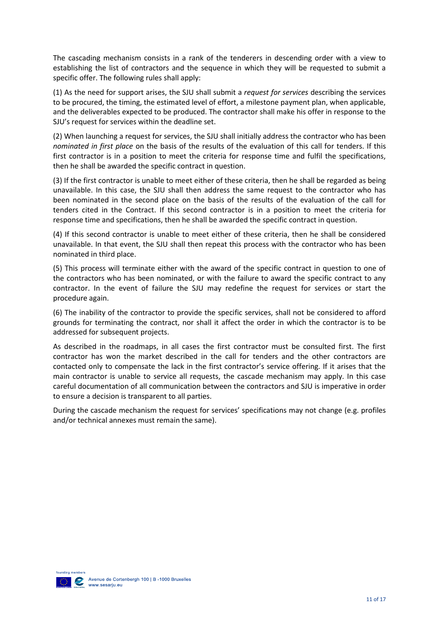The cascading mechanism consists in a rank of the tenderers in descending order with a view to establishing the list of contractors and the sequence in which they will be requested to submit a specific offer. The following rules shall apply:

(1) As the need for support arises, the SJU shall submit a *request for services* describing the services to be procured, the timing, the estimated level of effort, a milestone payment plan, when applicable, and the deliverables expected to be produced. The contractor shall make his offer in response to the SJU's request for services within the deadline set.

(2) When launching a request for services, the SJU shall initially address the contractor who has been *nominated in first place* on the basis of the results of the evaluation of this call for tenders. If this first contractor is in a position to meet the criteria for response time and fulfil the specifications, then he shall be awarded the specific contract in question.

(3) If the first contractor is unable to meet either of these criteria, then he shall be regarded as being unavailable. In this case, the SJU shall then address the same request to the contractor who has been nominated in the second place on the basis of the results of the evaluation of the call for tenders cited in the Contract. If this second contractor is in a position to meet the criteria for response time and specifications, then he shall be awarded the specific contract in question.

(4) If this second contractor is unable to meet either of these criteria, then he shall be considered unavailable. In that event, the SJU shall then repeat this process with the contractor who has been nominated in third place.

(5) This process will terminate either with the award of the specific contract in question to one of the contractors who has been nominated, or with the failure to award the specific contract to any contractor. In the event of failure the SJU may redefine the request for services or start the procedure again.

(6) The inability of the contractor to provide the specific services, shall not be considered to afford grounds for terminating the contract, nor shall it affect the order in which the contractor is to be addressed for subsequent projects.

As described in the roadmaps, in all cases the first contractor must be consulted first. The first contractor has won the market described in the call for tenders and the other contractors are contacted only to compensate the lack in the first contractor's service offering. If it arises that the main contractor is unable to service all requests, the cascade mechanism may apply. In this case careful documentation of all communication between the contractors and SJU is imperative in order to ensure a decision is transparent to all parties.

During the cascade mechanism the request for services' specifications may not change (e.g. profiles and/or technical annexes must remain the same).

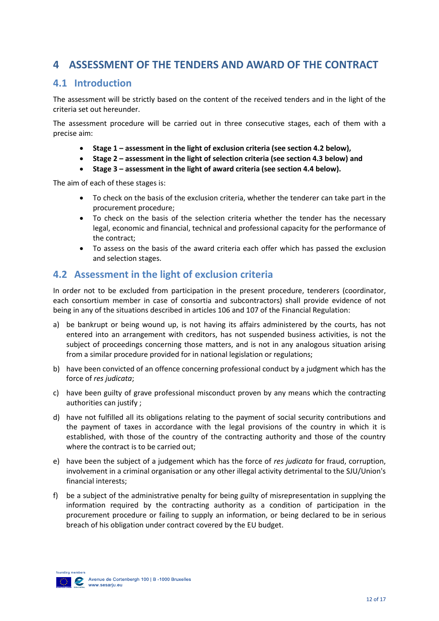## <span id="page-11-0"></span>**4 ASSESSMENT OF THE TENDERS AND AWARD OF THE CONTRACT**

## <span id="page-11-1"></span>**4.1 Introduction**

The assessment will be strictly based on the content of the received tenders and in the light of the criteria set out hereunder.

The assessment procedure will be carried out in three consecutive stages, each of them with a precise aim:

- **Stage 1 – assessment in the light of exclusion criteria (see section 4.2 below),**
- **Stage 2 – assessment in the light of selection criteria (see section 4.3 below) and**
- **Stage 3 – assessment in the light of award criteria (see section 4.4 below).**

The aim of each of these stages is:

- To check on the basis of the exclusion criteria, whether the tenderer can take part in the procurement procedure;
- To check on the basis of the selection criteria whether the tender has the necessary legal, economic and financial, technical and professional capacity for the performance of the contract;
- To assess on the basis of the award criteria each offer which has passed the exclusion and selection stages.

### <span id="page-11-2"></span>**4.2 Assessment in the light of exclusion criteria**

In order not to be excluded from participation in the present procedure, tenderers (coordinator, each consortium member in case of consortia and subcontractors) shall provide evidence of not being in any of the situations described in articles 106 and 107 of the Financial Regulation:

- a) be bankrupt or being wound up, is not having its affairs administered by the courts, has not entered into an arrangement with creditors, has not suspended business activities, is not the subject of proceedings concerning those matters, and is not in any analogous situation arising from a similar procedure provided for in national legislation or regulations;
- b) have been convicted of an offence concerning professional conduct by a judgment which has the force of *res judicata*;
- c) have been guilty of grave professional misconduct proven by any means which the contracting authorities can justify ;
- d) have not fulfilled all its obligations relating to the payment of social security contributions and the payment of taxes in accordance with the legal provisions of the country in which it is established, with those of the country of the contracting authority and those of the country where the contract is to be carried out;
- e) have been the subject of a judgement which has the force of *res judicata* for fraud, corruption, involvement in a criminal organisation or any other illegal activity detrimental to the SJU/Union's financial interests;
- f) be a subject of the administrative penalty for being guilty of misrepresentation in supplying the information required by the contracting authority as a condition of participation in the procurement procedure or failing to supply an information, or being declared to be in serious breach of his obligation under contract covered by the EU budget.

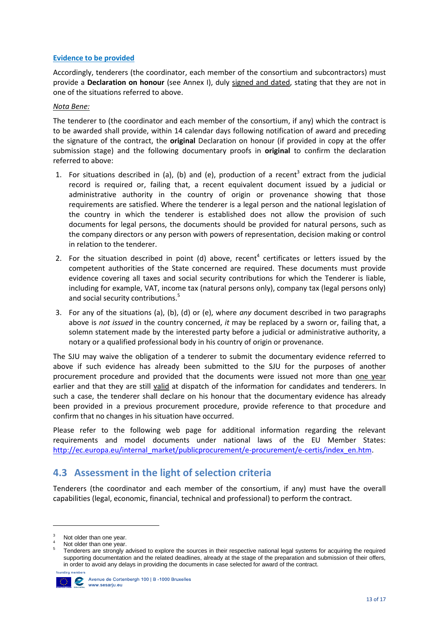#### **Evidence to be provided**

Accordingly, tenderers (the coordinator, each member of the consortium and subcontractors) must provide a **Declaration on honour** (see Annex I), duly signed and dated, stating that they are not in one of the situations referred to above.

#### *Nota Bene:*

The tenderer to (the coordinator and each member of the consortium, if any) which the contract is to be awarded shall provide, within 14 calendar days following notification of award and preceding the signature of the contract, the **original** Declaration on honour (if provided in copy at the offer submission stage) and the following documentary proofs in **original** to confirm the declaration referred to above:

- 1. For situations described in (a), (b) and (e), production of a recent<sup>3</sup> extract from the judicial record is required or, failing that, a recent equivalent document issued by a judicial or administrative authority in the country of origin or provenance showing that those requirements are satisfied. Where the tenderer is a legal person and the national legislation of the country in which the tenderer is established does not allow the provision of such documents for legal persons, the documents should be provided for natural persons, such as the company directors or any person with powers of representation, decision making or control in relation to the tenderer.
- 2. For the situation described in point (d) above, recent<sup>4</sup> certificates or letters issued by the competent authorities of the State concerned are required. These documents must provide evidence covering all taxes and social security contributions for which the Tenderer is liable, including for example, VAT, income tax (natural persons only), company tax (legal persons only) and social security contributions.<sup>5</sup>
- 3. For any of the situations (a), (b), (d) or (e), where *any* document described in two paragraphs above is *not issued* in the country concerned, *it* may be replaced by a sworn or, failing that, a solemn statement made by the interested party before a judicial or administrative authority, a notary or a qualified professional body in his country of origin or provenance.

The SJU may waive the obligation of a tenderer to submit the documentary evidence referred to above if such evidence has already been submitted to the SJU for the purposes of another procurement procedure and provided that the documents were issued not more than one year earlier and that they are still valid at dispatch of the information for candidates and tenderers. In such a case, the tenderer shall declare on his honour that the documentary evidence has already been provided in a previous procurement procedure, provide reference to that procedure and confirm that no changes in his situation have occurred.

Please refer to the following web page for additional information regarding the relevant requirements and model documents under national laws of the EU Member States: [http://ec.europa.eu/internal\\_market/publicprocurement/e-procurement/e-certis/index\\_en.htm.](http://ec.europa.eu/internal_market/publicprocurement/e-procurement/e-certis/index_en.htm)

## <span id="page-12-0"></span>**4.3 Assessment in the light of selection criteria**

Tenderers (the coordinator and each member of the consortium, if any) must have the overall capabilities (legal, economic, financial, technical and professional) to perform the contract.

<sup>5</sup> Tenderers are strongly advised to explore the sources in their respective national legal systems for acquiring the required supporting documentation and the related deadlines, already at the stage of the preparation and submission of their offers, in order to avoid any delays in providing the documents in case selected for award of the contract.



**.** 

<sup>&</sup>lt;sup>3</sup> Not older than one year.

Not older than one year.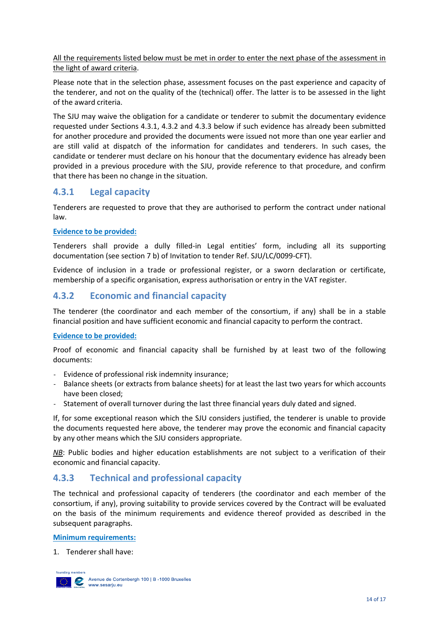All the requirements listed below must be met in order to enter the next phase of the assessment in the light of award criteria.

Please note that in the selection phase, assessment focuses on the past experience and capacity of the tenderer, and not on the quality of the (technical) offer. The latter is to be assessed in the light of the award criteria.

The SJU may waive the obligation for a candidate or tenderer to submit the documentary evidence requested under Sections 4.3.1, 4.3.2 and 4.3.3 below if such evidence has already been submitted for another procedure and provided the documents were issued not more than one year earlier and are still valid at dispatch of the information for candidates and tenderers. In such cases, the candidate or tenderer must declare on his honour that the documentary evidence has already been provided in a previous procedure with the SJU, provide reference to that procedure, and confirm that there has been no change in the situation.

### **4.3.1 Legal capacity**

Tenderers are requested to prove that they are authorised to perform the contract under national law.

#### **Evidence to be provided:**

Tenderers shall provide a dully filled-in Legal entities' form, including all its supporting documentation (see section 7 b) of Invitation to tender Ref. SJU/LC/0099-CFT).

Evidence of inclusion in a trade or professional register, or a sworn declaration or certificate, membership of a specific organisation, express authorisation or entry in the VAT register.

### **4.3.2 Economic and financial capacity**

The tenderer (the coordinator and each member of the consortium, if any) shall be in a stable financial position and have sufficient economic and financial capacity to perform the contract.

#### **Evidence to be provided:**

Proof of economic and financial capacity shall be furnished by at least two of the following documents:

- Evidence of professional risk indemnity insurance;
- Balance sheets (or extracts from balance sheets) for at least the last two years for which accounts have been closed;
- Statement of overall turnover during the last three financial years duly dated and signed.

If, for some exceptional reason which the SJU considers justified, the tenderer is unable to provide the documents requested here above, the tenderer may prove the economic and financial capacity by any other means which the SJU considers appropriate.

*NB*: Public bodies and higher education establishments are not subject to a verification of their economic and financial capacity.

### **4.3.3 Technical and professional capacity**

The technical and professional capacity of tenderers (the coordinator and each member of the consortium, if any), proving suitability to provide services covered by the Contract will be evaluated on the basis of the minimum requirements and evidence thereof provided as described in the subsequent paragraphs.

#### **Minimum requirements:**

1. Tenderer shall have:

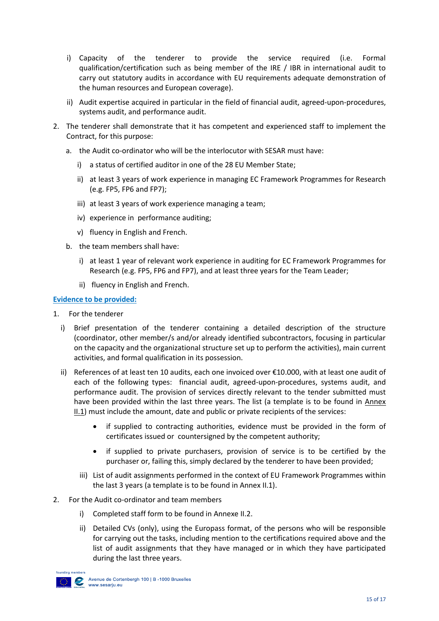- i) Capacity of the tenderer to provide the service required (i.e. Formal qualification/certification such as being member of the IRE / IBR in international audit to carry out statutory audits in accordance with EU requirements adequate demonstration of the human resources and European coverage).
- ii) Audit expertise acquired in particular in the field of financial audit, agreed-upon-procedures, systems audit, and performance audit.
- 2. The tenderer shall demonstrate that it has competent and experienced staff to implement the Contract, for this purpose:
	- a. the Audit co-ordinator who will be the interlocutor with SESAR must have:
		- i) a status of certified auditor in one of the 28 EU Member State;
		- ii) at least 3 years of work experience in managing EC Framework Programmes for Research (e.g. FP5, FP6 and FP7);
		- iii) at least 3 years of work experience managing a team;
		- iv) experience in performance auditing;
		- v) fluency in English and French.
	- b. the team members shall have:
		- i) at least 1 year of relevant work experience in auditing for EC Framework Programmes for Research (e.g. FP5, FP6 and FP7), and at least three years for the Team Leader;
		- ii) fluency in English and French.

#### **Evidence to be provided:**

- 1. For the tenderer
	- i) Brief presentation of the tenderer containing a detailed description of the structure (coordinator, other member/s and/or already identified subcontractors, focusing in particular on the capacity and the organizational structure set up to perform the activities), main current activities, and formal qualification in its possession.
	- ii) References of at least ten 10 audits, each one invoiced over €10.000, with at least one audit of each of the following types: financial audit, agreed-upon-procedures, systems audit, and performance audit. The provision of services directly relevant to the tender submitted must have been provided within the last three years. The list (a template is to be found in Annex II.1) must include the amount, date and public or private recipients of the services:
		- if supplied to contracting authorities, evidence must be provided in the form of certificates issued or countersigned by the competent authority;
		- if supplied to private purchasers, provision of service is to be certified by the purchaser or, failing this, simply declared by the tenderer to have been provided;
		- iii) List of audit assignments performed in the context of EU Framework Programmes within the last 3 years (a template is to be found in Annex II.1).
- 2. For the Audit co-ordinator and team members
	- i) Completed staff form to be found in Annexe II.2.
	- ii) Detailed CVs (only), using the Europass format, of the persons who will be responsible for carrying out the tasks, including mention to the certifications required above and the list of audit assignments that they have managed or in which they have participated during the last three years.

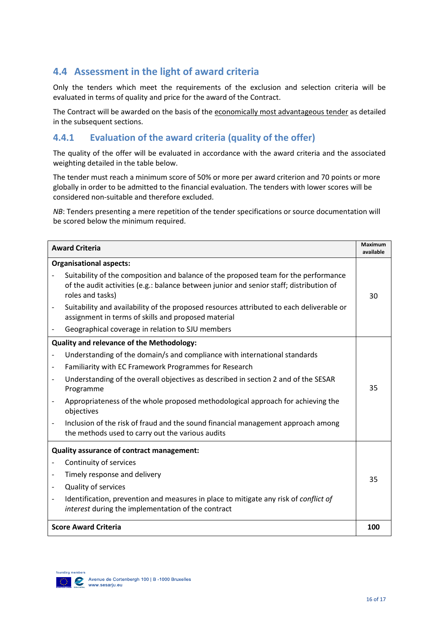## <span id="page-15-0"></span>**4.4 Assessment in the light of award criteria**

Only the tenders which meet the requirements of the exclusion and selection criteria will be evaluated in terms of quality and price for the award of the Contract.

The Contract will be awarded on the basis of the economically most advantageous tender as detailed in the subsequent sections.

### **4.4.1 Evaluation of the award criteria (quality of the offer)**

The quality of the offer will be evaluated in accordance with the award criteria and the associated weighting detailed in the table below.

The tender must reach a minimum score of 50% or more per award criterion and 70 points or more globally in order to be admitted to the financial evaluation. The tenders with lower scores will be considered non-suitable and therefore excluded.

*NB*: Tenders presenting a mere repetition of the tender specifications or source documentation will be scored below the minimum required.

| <b>Award Criteria</b>                            |                                                                                                                                                                                                    |     |
|--------------------------------------------------|----------------------------------------------------------------------------------------------------------------------------------------------------------------------------------------------------|-----|
| <b>Organisational aspects:</b>                   |                                                                                                                                                                                                    |     |
|                                                  | Suitability of the composition and balance of the proposed team for the performance<br>of the audit activities (e.g.: balance between junior and senior staff; distribution of<br>roles and tasks) | 30  |
|                                                  | Suitability and availability of the proposed resources attributed to each deliverable or<br>assignment in terms of skills and proposed material                                                    |     |
|                                                  | Geographical coverage in relation to SJU members                                                                                                                                                   |     |
| <b>Quality and relevance of the Methodology:</b> |                                                                                                                                                                                                    |     |
|                                                  | Understanding of the domain/s and compliance with international standards                                                                                                                          |     |
|                                                  | Familiarity with EC Framework Programmes for Research                                                                                                                                              |     |
|                                                  | Understanding of the overall objectives as described in section 2 and of the SESAR<br>Programme                                                                                                    | 35  |
|                                                  | Appropriateness of the whole proposed methodological approach for achieving the<br>objectives                                                                                                      |     |
|                                                  | Inclusion of the risk of fraud and the sound financial management approach among<br>the methods used to carry out the various audits                                                               |     |
| Quality assurance of contract management:        |                                                                                                                                                                                                    |     |
|                                                  | Continuity of services                                                                                                                                                                             |     |
|                                                  | Timely response and delivery                                                                                                                                                                       | 35  |
|                                                  | Quality of services                                                                                                                                                                                |     |
|                                                  | Identification, prevention and measures in place to mitigate any risk of conflict of<br>interest during the implementation of the contract                                                         |     |
| <b>Score Award Criteria</b>                      |                                                                                                                                                                                                    | 100 |

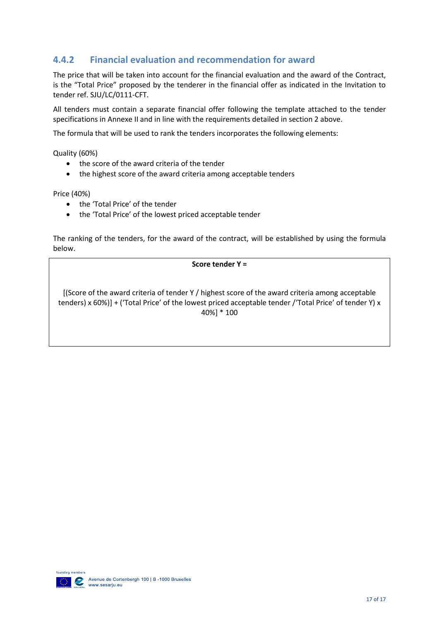## **4.4.2 Financial evaluation and recommendation for award**

The price that will be taken into account for the financial evaluation and the award of the Contract, is the "Total Price" proposed by the tenderer in the financial offer as indicated in the Invitation to tender ref. SJU/LC/0111-CFT.

All tenders must contain a separate financial offer following the template attached to the tender specifications in Annexe II and in line with the requirements detailed in section 2 above.

The formula that will be used to rank the tenders incorporates the following elements:

Quality (60%)

- the score of the award criteria of the tender
- the highest score of the award criteria among acceptable tenders

Price (40%)

- the 'Total Price' of the tender
- the 'Total Price' of the lowest priced acceptable tender

The ranking of the tenders, for the award of the contract, will be established by using the formula below.

**Score tender Y =**

[(Score of the award criteria of tender Y / highest score of the award criteria among acceptable tenders) x 60%)] + ('Total Price' of the lowest priced acceptable tender /'Total Price' of tender Y) x 40%] \* 100